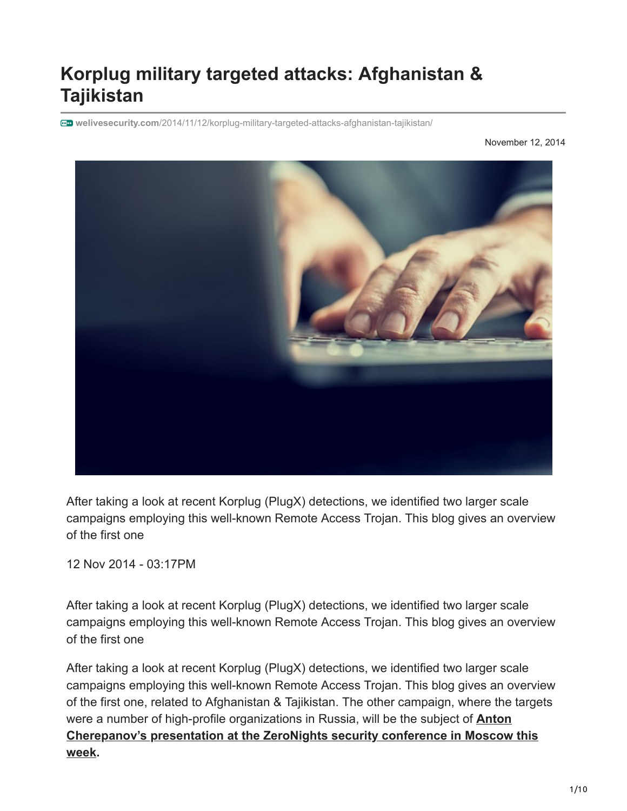# **Korplug military targeted attacks: Afghanistan & Tajikistan**

**welivesecurity.com**[/2014/11/12/korplug-military-targeted-attacks-afghanistan-tajikistan/](https://www.welivesecurity.com/2014/11/12/korplug-military-targeted-attacks-afghanistan-tajikistan/)

November 12, 2014



After taking a look at recent Korplug (PlugX) detections, we identified two larger scale campaigns employing this well-known Remote Access Trojan. This blog gives an overview of the first one

12 Nov 2014 - 03:17PM

After taking a look at recent Korplug (PlugX) detections, we identified two larger scale campaigns employing this well-known Remote Access Trojan. This blog gives an overview of the first one

After taking a look at recent Korplug (PlugX) detections, we identified two larger scale campaigns employing this well-known Remote Access Trojan. This blog gives an overview of the first one, related to Afghanistan & Tajikistan. The other campaign, where the targets were a number of high-profile organizations in Russia, will be the subject of **Anton [Cherepanov's presentation at the ZeroNights security conference in Moscow this](http://2014.zeronights.org/conference/fasttrack.html#cherepanov) week.**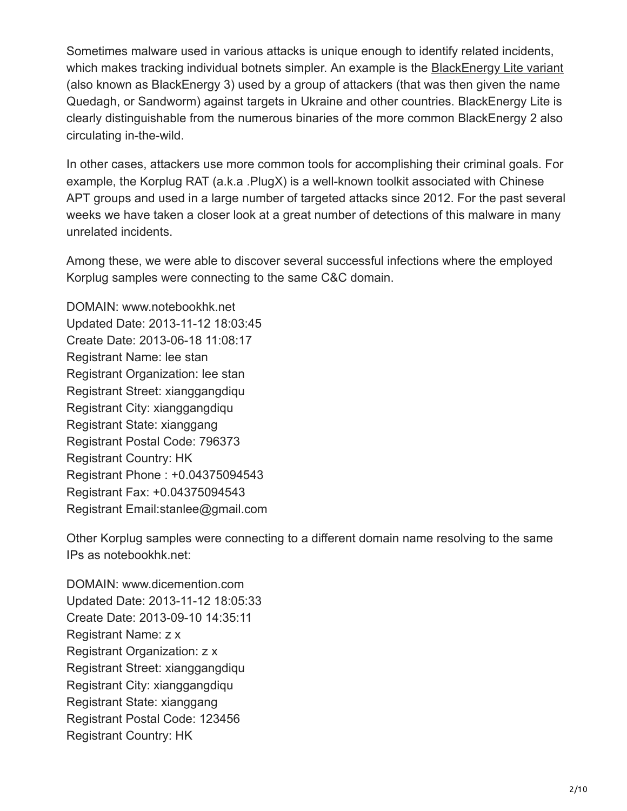Sometimes malware used in various attacks is unique enough to identify related incidents, which makes tracking individual botnets simpler. An example is the [BlackEnergy Lite variant](https://www.welivesecurity.com/2014/09/22/back-in-blackenergy-2014/) (also known as BlackEnergy 3) used by a group of attackers (that was then given the name Quedagh, or Sandworm) against targets in Ukraine and other countries. BlackEnergy Lite is clearly distinguishable from the numerous binaries of the more common BlackEnergy 2 also circulating in-the-wild.

In other cases, attackers use more common tools for accomplishing their criminal goals. For example, the Korplug RAT (a.k.a .PlugX) is a well-known toolkit associated with Chinese APT groups and used in a large number of targeted attacks since 2012. For the past several weeks we have taken a closer look at a great number of detections of this malware in many unrelated incidents.

Among these, we were able to discover several successful infections where the employed Korplug samples were connecting to the same C&C domain.

DOMAIN: www.notebookhk.net Updated Date: 2013-11-12 18:03:45 Create Date: 2013-06-18 11:08:17 Registrant Name: lee stan Registrant Organization: lee stan Registrant Street: xianggangdiqu Registrant City: xianggangdiqu Registrant State: xianggang Registrant Postal Code: 796373 Registrant Country: HK Registrant Phone : +0.04375094543 Registrant Fax: +0.04375094543 Registrant Email:stanlee@gmail.com

Other Korplug samples were connecting to a different domain name resolving to the same IPs as notebookhk.net:

DOMAIN: www.dicemention.com Updated Date: 2013-11-12 18:05:33 Create Date: 2013-09-10 14:35:11 Registrant Name: z x Registrant Organization: z x Registrant Street: xianggangdiqu Registrant City: xianggangdiqu Registrant State: xianggang Registrant Postal Code: 123456 Registrant Country: HK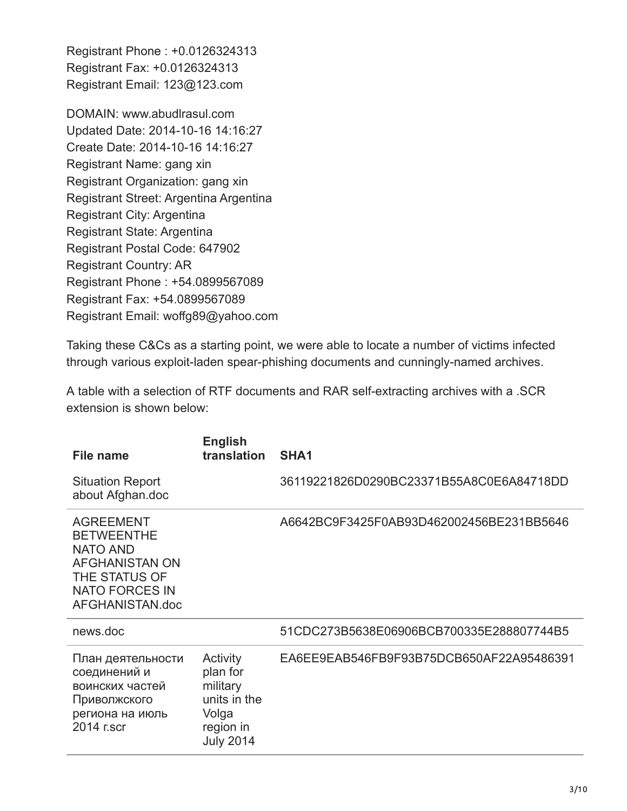Registrant Phone : +0.0126324313 Registrant Fax: +0.0126324313 Registrant Email: 123@123.com

DOMAIN: www.abudlrasul.com Updated Date: 2014-10-16 14:16:27 Create Date: 2014-10-16 14:16:27 Registrant Name: gang xin Registrant Organization: gang xin Registrant Street: Argentina Argentina Registrant City: Argentina Registrant State: Argentina Registrant Postal Code: 647902 Registrant Country: AR Registrant Phone : +54.0899567089 Registrant Fax: +54.0899567089 Registrant Email: woffg89@yahoo.com

Taking these C&Cs as a starting point, we were able to locate a number of victims infected through various exploit-laden spear-phishing documents and cunningly-named archives.

A table with a selection of RTF documents and RAR self-extracting archives with a .SCR extension is shown below:

| File name                                                                                                                                      | <b>English</b><br>translation                                                              | SHA <sub>1</sub>                         |
|------------------------------------------------------------------------------------------------------------------------------------------------|--------------------------------------------------------------------------------------------|------------------------------------------|
| <b>Situation Report</b><br>about Afghan.doc                                                                                                    |                                                                                            | 36119221826D0290BC23371B55A8C0E6A84718DD |
| <b>AGREEMENT</b><br><b>BETWEENTHE</b><br><b>NATO AND</b><br><b>AFGHANISTAN ON</b><br>THE STATUS OF<br><b>NATO FORCES IN</b><br>AFGHANISTAN.doc |                                                                                            | A6642BC9F3425F0AB93D462002456BE231BB5646 |
| news.doc                                                                                                                                       |                                                                                            | 51CDC273B5638E06906BCB700335E288807744B5 |
| План деятельности<br>соединений и<br>воинских частей<br>Приволжского<br>региона на июль<br>2014 r.scr                                          | Activity<br>plan for<br>military<br>units in the<br>Volga<br>region in<br><b>July 2014</b> | EA6EE9EAB546FB9F93B75DCB650AF22A95486391 |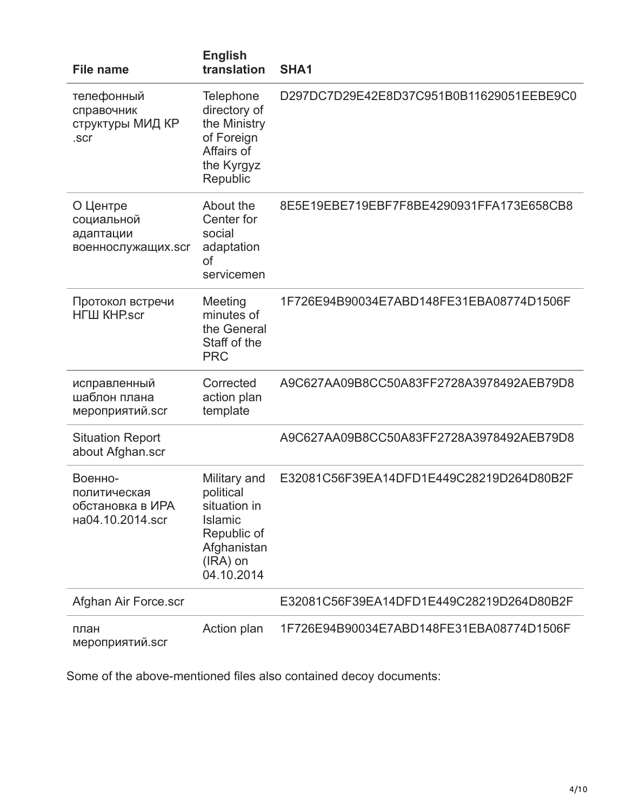| <b>File name</b>                                                | <b>English</b><br>translation                                                                                         | SHA <sub>1</sub>                         |
|-----------------------------------------------------------------|-----------------------------------------------------------------------------------------------------------------------|------------------------------------------|
| телефонный<br>справочник<br>структуры МИД КР<br>.scr            | Telephone<br>directory of<br>the Ministry<br>of Foreign<br>Affairs of<br>the Kyrgyz<br>Republic                       | D297DC7D29E42E8D37C951B0B11629051EEBE9C0 |
| О Центре<br>социальной<br>адаптации<br>военнослужащих.scr       | About the<br>Center for<br>social<br>adaptation<br><b>of</b><br>servicemen                                            | 8E5E19EBE719EBF7F8BE4290931FFA173E658CB8 |
| Протокол встречи<br><b>НГШ КНР</b> .scr                         | Meeting<br>minutes of<br>the General<br>Staff of the<br><b>PRC</b>                                                    | 1F726E94B90034E7ABD148FE31EBA08774D1506F |
| исправленный<br>шаблон плана<br>мероприятий.scr                 | Corrected<br>action plan<br>template                                                                                  | A9C627AA09B8CC50A83FF2728A3978492AEB79D8 |
| <b>Situation Report</b><br>about Afghan.scr                     |                                                                                                                       | A9C627AA09B8CC50A83FF2728A3978492AEB79D8 |
| Военно-<br>политическая<br>обстановка в ИРА<br>на04.10.2014.scr | Military and<br>political<br>situation in<br><b>Islamic</b><br>Republic of<br>Afghanistan<br>$(IRA)$ on<br>04.10.2014 | E32081C56F39EA14DFD1E449C28219D264D80B2F |
| Afghan Air Force.scr                                            |                                                                                                                       | E32081C56F39EA14DFD1E449C28219D264D80B2F |
| план<br>мероприятий.scr                                         | Action plan                                                                                                           | 1F726E94B90034E7ABD148FE31EBA08774D1506F |

Some of the above-mentioned files also contained decoy documents: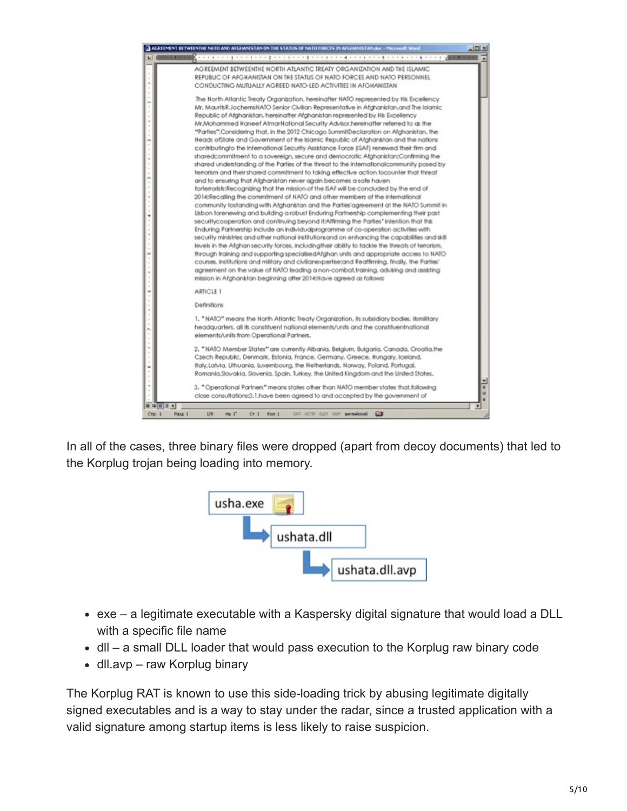

In all of the cases, three binary files were dropped (apart from decoy documents) that led to the Korplug trojan being loading into memory.



- exe a legitimate executable with a Kaspersky digital signature that would load a DLL with a specific file name
- dll a small DLL loader that would pass execution to the Korplug raw binary code
- dll.avp raw Korplug binary

The Korplug RAT is known to use this side-loading trick by abusing legitimate digitally signed executables and is a way to stay under the radar, since a trusted application with a valid signature among startup items is less likely to raise suspicion.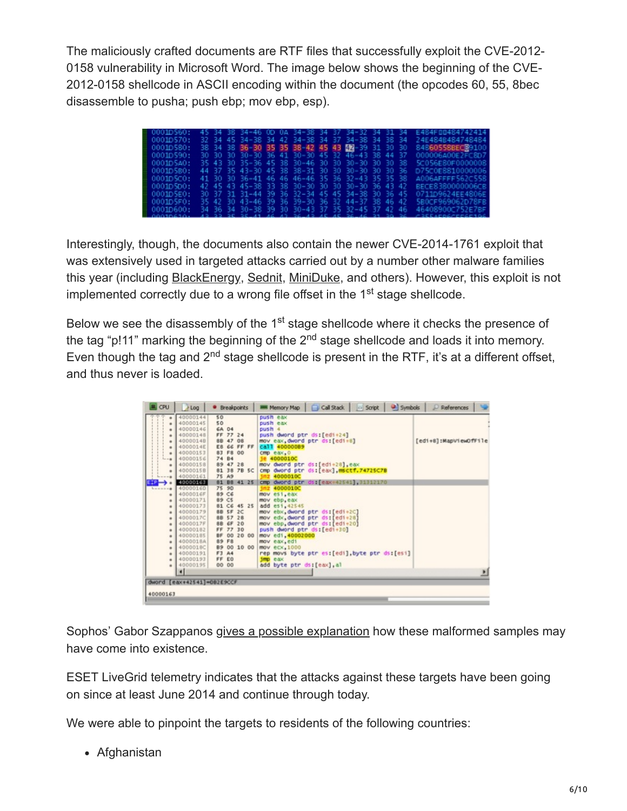The maliciously crafted documents are RTF files that successfully exploit the CVE-2012- 0158 vulnerability in Microsoft Word. The image below shows the beginning of the CVE-2012-0158 shellcode in ASCII encoding within the document (the opcodes 60, 55, 8bec disassemble to pusha; push ebp; mov ebp, esp).

| 0001D560: |  |  |  |  | 45 34 38 34-46 OD 0A 34-38 34 37 34-32 34 31 34    |  | E484F00484742414                                                 |
|-----------|--|--|--|--|----------------------------------------------------|--|------------------------------------------------------------------|
| 00010570: |  |  |  |  | 32 34 45 34-38 34 42 34-38 34 37 34-38 34 38 34    |  | 24E484B484748484                                                 |
| 00010580: |  |  |  |  | 38 34 38 36-30 35 35 38-42 45 43 42 - 39 31 30 30  |  | 84860558BEC89100                                                 |
| 0001D590: |  |  |  |  | 30 30 30 30-30 36 41 30-30 45 32 46-43 38 44 37    |  | 000006A00E2FC8D7                                                 |
| 0001D5A0: |  |  |  |  | 35 43 30 35-36 45 38 30-46 30 30 30-30 30 30 30 38 |  | 5C056E80F0000008                                                 |
| 0001D580: |  |  |  |  | 44 37 35 43-30 45 38 38-31 30 30 30-30 30 30 36    |  | D75C0E8810000006                                                 |
| 0001D5CO: |  |  |  |  | 41 30 30 36-41 46 46 46-46 35 36 32-43 35 35 38    |  | A006AFFFF562C558                                                 |
| 0001D5D0: |  |  |  |  | 42 45 43 45-38 33 38 30-30 30 30 30-30 36 43 42    |  | BECE8380000006CB                                                 |
| 0001D5E0: |  |  |  |  | 30 37 31 31-44 39 36 32-34 45 45 34-38 30 36 45    |  | 0711D9624EE4806E                                                 |
| 0001D5F0: |  |  |  |  | 35 42 30 43-46 39 36 39-30 36 32 44-37 38 46 42    |  | SB0CF969062D78FB                                                 |
| 0001D600: |  |  |  |  | 34 36 34 30-38 39 30 30-43 37 35 32-45 37 42 46    |  | 46408900C752E7RF                                                 |
| れれれすれどすれる |  |  |  |  |                                                    |  | 15 55 56 58 11 12 13 56 15 16 16 56 16 51 55 56 56 - 256 167 168 |

Interestingly, though, the documents also contain the newer CVE-2014-1761 exploit that was extensively used in targeted attacks carried out by a number other malware families this year (including [BlackEnergy](https://www.welivesecurity.com/2014/09/22/back-in-blackenergy-2014/), [Sednit,](https://www.welivesecurity.com/2014/10/08/sednit-espionage-group-now-using-custom-exploit-kit/) [MiniDuke](https://www.welivesecurity.com/2014/05/20/miniduke-still-duking/), and others). However, this exploit is not implemented correctly due to a wrong file offset in the 1<sup>st</sup> stage shellcode.

Below we see the disassembly of the 1<sup>st</sup> stage shellcode where it checks the presence of the tag "p!11" marking the beginning of the 2<sup>nd</sup> stage shellcode and loads it into memory. Even though the tag and  $2<sup>nd</sup>$  stage shellcode is present in the RTF, it's at a different offset, and thus never is loaded.

| CPU                                | & Log                      | · Breakpoints      | Call Stack<br>Symbols<br><b>Script</b><br>Memory Map | P References          |
|------------------------------------|----------------------------|--------------------|------------------------------------------------------|-----------------------|
|                                    | 40000144                   | 50                 | push eax                                             |                       |
| ٠                                  | 40000145                   | 50                 | push eax                                             |                       |
|                                    | 40000146                   | 6A 04              | push 4                                               |                       |
| ٠                                  | 40000148                   | FF 77 24           | push dword ptr ds:[edi+24]                           |                       |
| ٠                                  | 4000014B                   | 88 47<br>08        | mov eax, dword ptr ds: [edi+8]                       | [edi+8]:MapViewOfFile |
| ٠                                  | 4000014E                   | E8 66 FF FF        | call 40000089                                        |                       |
| ٠                                  | 40000153                   | 83 F8 00           | $cmp$ $e$ $ax, 0$                                    |                       |
| $- - 8$                            | 40000156                   | 74 84              | je 4000010C                                          |                       |
| ٠                                  | 40000158                   | 89 47 28           | mov dword ptr ds:[edi+28], eax                       |                       |
|                                    | 4000015B                   | 81 38 7B 5C        | cmp dword ptr ds: [eax] msctf.74725C7B               |                       |
|                                    | 40000161                   | 75 A9              | inz 4000010C                                         |                       |
|                                    | 40000163                   | 81 BB 41 25        | cmp dword ptr ds: [eax+42541].31312170               |                       |
| <b><i><u><u>LESSER</u></u></i></b> | 4000016D                   | 75 90              | inz 4000010C                                         |                       |
| ٠                                  | 4000016F                   | 89 C6              | mov esi, eax                                         |                       |
| ٠                                  | 40000171                   | 89 CS              | mov ebp.eax                                          |                       |
| ٠                                  | 40000173                   | 81 C6<br>45 25     | add esi, 42545                                       |                       |
| ۰                                  | 40000179                   | SB SF<br>2<        | mov ebx, dword ptr ds: [edi+2C]                      |                       |
| ٠                                  | 4000017C                   | <b>88 S7</b><br>28 | mov edx, dword ptr ds:[edi+28]                       |                       |
| ٠                                  | 4000017F                   | 8B 6F<br>20        | mov ebp dword ptr ds:[edi+20]                        |                       |
| ۰                                  | 40000182                   | FF 77 30           | push dword ptr ds:[edi+30]                           |                       |
| ۰                                  | 40000185                   | BF.<br>00 20 00    | mov ed1,40002000                                     |                       |
| ٠                                  | 4000018A                   | 89 F8              | mov eax, edi                                         |                       |
| ٠                                  | 4000018C                   | B9 00 10 00        | mov ecx, 1000                                        |                       |
| ۰                                  | 40000191                   | F3 A4              | rep movs byte ptr es:[edi], byte ptr ds:[esi]        |                       |
| ٠                                  | 40000193                   | FF EO              | imp eax                                              |                       |
|                                    | 40000195                   | 00 00              | add byte ptr ds: [eax], al                           |                       |
|                                    | $\blacksquare$             |                    |                                                      |                       |
|                                    | dword [eax+42541]=DB2E9CCF |                    |                                                      |                       |
|                                    |                            |                    |                                                      |                       |
| 40000163                           |                            |                    |                                                      |                       |
|                                    |                            |                    |                                                      |                       |

Sophos' Gabor Szappanos [gives a possible explanation](http://www.sophos.com/en-us/medialibrary/PDFs/technical%20papers/sophos-rotten-tomato-campaign.pdf) how these malformed samples may have come into existence.

ESET LiveGrid telemetry indicates that the attacks against these targets have been going on since at least June 2014 and continue through today.

We were able to pinpoint the targets to residents of the following countries:

Afghanistan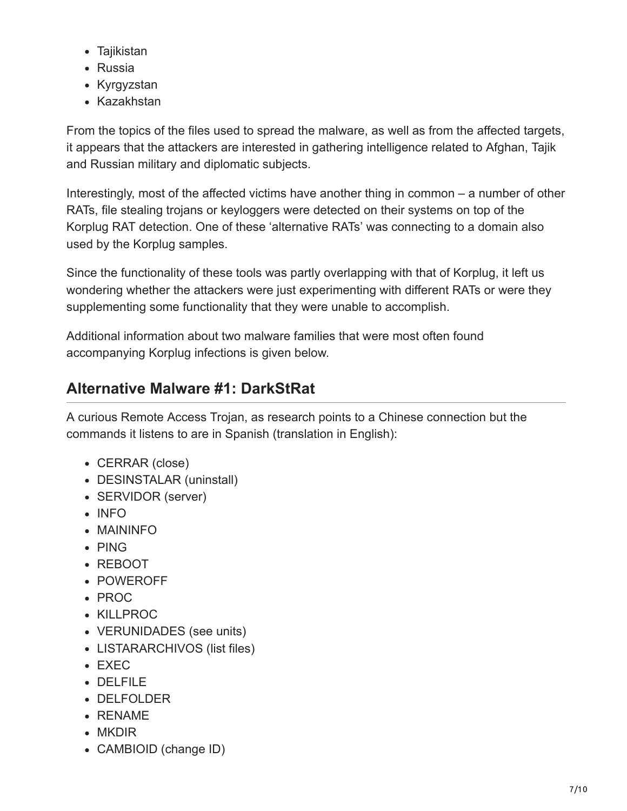- Tajikistan
- Russia
- Kyrgyzstan
- Kazakhstan

From the topics of the files used to spread the malware, as well as from the affected targets, it appears that the attackers are interested in gathering intelligence related to Afghan, Tajik and Russian military and diplomatic subjects.

Interestingly, most of the affected victims have another thing in common – a number of other RATs, file stealing trojans or keyloggers were detected on their systems on top of the Korplug RAT detection. One of these 'alternative RATs' was connecting to a domain also used by the Korplug samples.

Since the functionality of these tools was partly overlapping with that of Korplug, it left us wondering whether the attackers were just experimenting with different RATs or were they supplementing some functionality that they were unable to accomplish.

Additional information about two malware families that were most often found accompanying Korplug infections is given below.

## **Alternative Malware #1: DarkStRat**

A curious Remote Access Trojan, as research points to a Chinese connection but the commands it listens to are in Spanish (translation in English):

- CERRAR (close)
- DESINSTALAR (uninstall)
- SERVIDOR (server)
- INFO
- MAININFO
- PING
- REBOOT
- POWEROFF
- PROC
- KILLPROC
- VERUNIDADES (see units)
- LISTARARCHIVOS (list files)
- EXEC
- DELFILE
- DELFOLDER
- RENAME
- MKDIR
- CAMBIOID (change ID)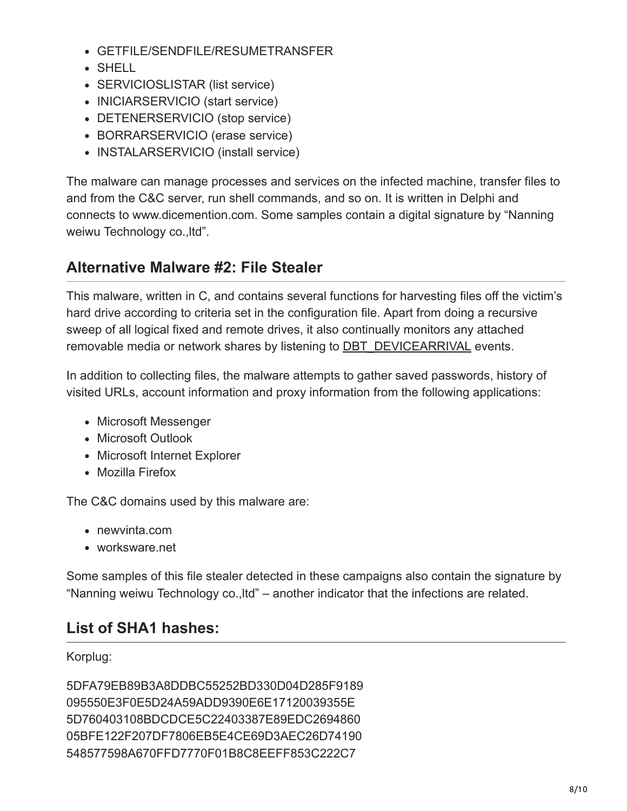- GETFILE/SENDFILE/RESUMETRANSFER
- SHELL
- SERVICIOSLISTAR (list service)
- INICIARSERVICIO (start service)
- DETENERSERVICIO (stop service)
- BORRARSERVICIO (erase service)
- INSTALARSERVICIO (install service)

The malware can manage processes and services on the infected machine, transfer files to and from the C&C server, run shell commands, and so on. It is written in Delphi and connects to www.dicemention.com. Some samples contain a digital signature by "Nanning weiwu Technology co.,ltd".

### **Alternative Malware #2: File Stealer**

This malware, written in C, and contains several functions for harvesting files off the victim's hard drive according to criteria set in the configuration file. Apart from doing a recursive sweep of all logical fixed and remote drives, it also continually monitors any attached removable media or network shares by listening to **[DBT\\_DEVICEARRIVAL](http://msdn.microsoft.com/en-us/library/windows/desktop/aa363205%28v=vs.85%29.aspx)** events.

In addition to collecting files, the malware attempts to gather saved passwords, history of visited URLs, account information and proxy information from the following applications:

- Microsoft Messenger
- Microsoft Outlook
- Microsoft Internet Explorer
- Mozilla Firefox

The C&C domains used by this malware are:

- newvinta.com
- worksware.net

Some samples of this file stealer detected in these campaigns also contain the signature by "Nanning weiwu Technology co.,ltd" – another indicator that the infections are related.

## **List of SHA1 hashes:**

Korplug:

5DFA79EB89B3A8DDBC55252BD330D04D285F9189 095550E3F0E5D24A59ADD9390E6E17120039355E 5D760403108BDCDCE5C22403387E89EDC2694860 05BFE122F207DF7806EB5E4CE69D3AEC26D74190 548577598A670FFD7770F01B8C8EEFF853C222C7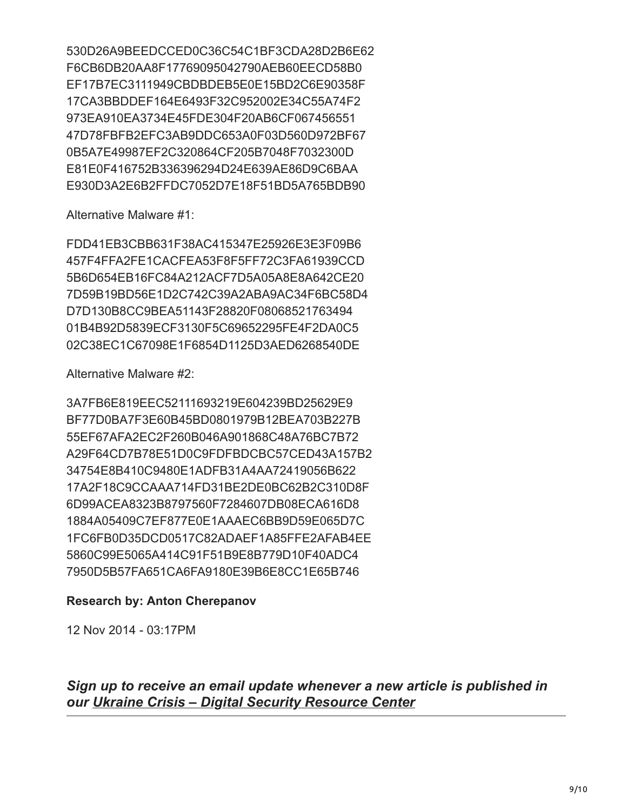530D26A9BEEDCCED0C36C54C1BF3CDA28D2B6E62 F6CB6DB20AA8F17769095042790AEB60EECD58B0 EF17B7EC3111949CBDBDEB5E0E15BD2C6E90358F 17CA3BBDDEF164E6493F32C952002E34C55A74F2 973EA910EA3734E45FDE304F20AB6CF067456551 47D78FBFB2EFC3AB9DDC653A0F03D560D972BF67 0B5A7E49987EF2C320864CF205B7048F7032300D E81E0F416752B336396294D24E639AE86D9C6BAA E930D3A2E6B2FFDC7052D7E18F51BD5A765BDB90

Alternative Malware #1:

FDD41EB3CBB631F38AC415347E25926E3E3F09B6 457F4FFA2FE1CACFEA53F8F5FF72C3FA61939CCD 5B6D654EB16FC84A212ACF7D5A05A8E8A642CE20 7D59B19BD56E1D2C742C39A2ABA9AC34F6BC58D4 D7D130B8CC9BEA51143F28820F08068521763494 01B4B92D5839ECF3130F5C69652295FE4F2DA0C5 02C38EC1C67098E1F6854D1125D3AED6268540DE

Alternative Malware #2:

3A7FB6E819EEC52111693219E604239BD25629E9 BF77D0BA7F3E60B45BD0801979B12BEA703B227B 55EF67AFA2EC2F260B046A901868C48A76BC7B72 A29F64CD7B78E51D0C9FDFBDCBC57CED43A157B2 34754E8B410C9480E1ADFB31A4AA72419056B622 17A2F18C9CCAAA714FD31BE2DE0BC62B2C310D8F 6D99ACEA8323B8797560F7284607DB08ECA616D8 1884A05409C7EF877E0E1AAAEC6BB9D59E065D7C 1FC6FB0D35DCD0517C82ADAEF1A85FFE2AFAB4EE 5860C99E5065A414C91F51B9E8B779D10F40ADC4 7950D5B57FA651CA6FA9180E39B6E8CC1E65B746

#### **Research by: Anton Cherepanov**

12 Nov 2014 - 03:17PM

*Sign up to receive an email update whenever a new article is published in our [Ukraine Crisis – Digital Security Resource Center](https://www.welivesecurity.com/category/ukraine-crisis-digital-security-resource-center/)*